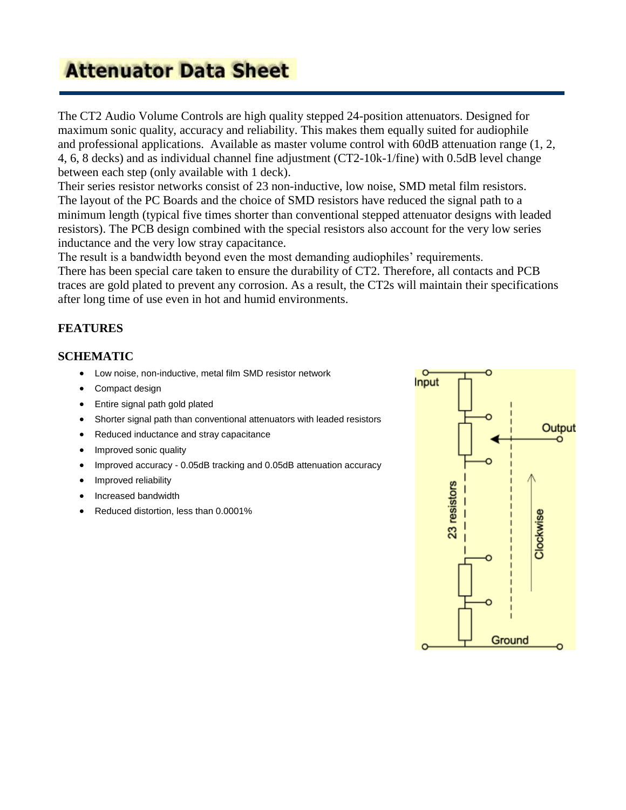# **Attenuator Data Sheet**

The CT2 Audio Volume Controls are high quality stepped 24-position attenuators. Designed for maximum sonic quality, accuracy and reliability. This makes them equally suited for audiophile and professional applications. Available as master volume control with 60dB attenuation range (1, 2, 4, 6, 8 decks) and as individual channel fine adjustment (CT2-10k-1/fine) with 0.5dB level change between each step (only available with 1 deck).

Their series resistor networks consist of 23 non-inductive, low noise, SMD metal film resistors. The layout of the PC Boards and the choice of SMD resistors have reduced the signal path to a minimum length (typical five times shorter than conventional stepped attenuator designs with leaded resistors). The PCB design combined with the special resistors also account for the very low series inductance and the very low stray capacitance.

The result is a bandwidth beyond even the most demanding audiophiles' requirements.

There has been special care taken to ensure the durability of CT2. Therefore, all contacts and PCB traces are gold plated to prevent any corrosion. As a result, the CT2s will maintain their specifications after long time of use even in hot and humid environments.

#### **FEATURES**

#### **SCHEMATIC**

- Low noise, non-inductive, metal film SMD resistor network
- Compact design
- Entire signal path gold plated
- Shorter signal path than conventional attenuators with leaded resistors
- Reduced inductance and stray capacitance
- Improved sonic quality
- Improved accuracy 0.05dB tracking and 0.05dB attenuation accuracy
- Improved reliability
- Increased bandwidth
- Reduced distortion, less than 0.0001%

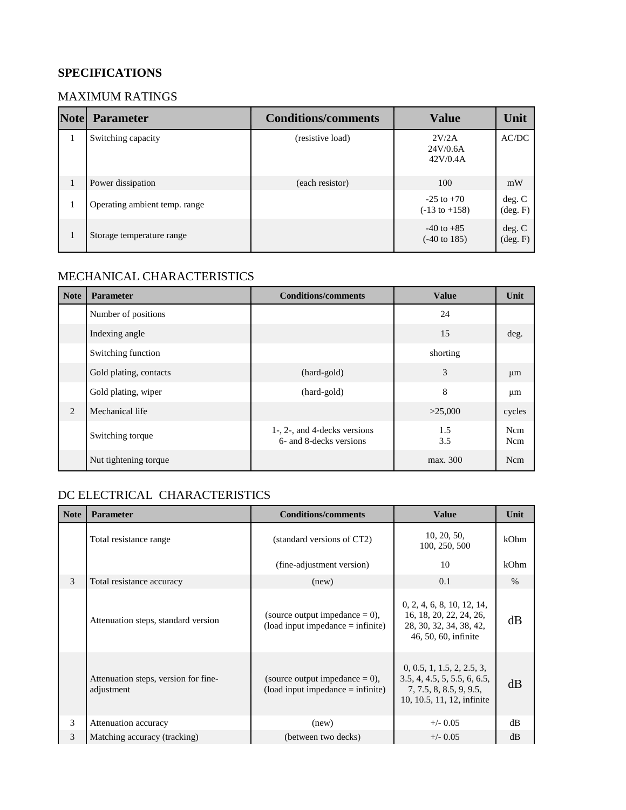## **SPECIFICATIONS**

#### MAXIMUM RATINGS

| <b>Note</b> | <b>Parameter</b>              | <b>Conditions/comments</b> | <b>Value</b>                               | Unit                        |
|-------------|-------------------------------|----------------------------|--------------------------------------------|-----------------------------|
|             | Switching capacity            | (resistive load)           | 2V/2A<br>24V/0.6A<br>42V/0.4A              | AC/DC                       |
|             | Power dissipation             | (each resistor)            | 100                                        | mW                          |
|             | Operating ambient temp. range |                            | $-25$ to $+70$<br>$(-13 \text{ to } +158)$ | deg. C<br>$(\text{deg. F})$ |
|             | Storage temperature range     |                            | $-40$ to $+85$<br>$(-40 \text{ to } 185)$  | deg. C<br>$(\text{deg. F})$ |

# MECHANICAL CHARACTERISTICS

| <b>Note</b> | <b>Parameter</b>       | <b>Conditions/comments</b>                              | <b>Value</b> | Unit       |
|-------------|------------------------|---------------------------------------------------------|--------------|------------|
|             | Number of positions    |                                                         | 24           |            |
|             | Indexing angle         |                                                         | 15           | deg.       |
|             | Switching function     |                                                         | shorting     |            |
|             | Gold plating, contacts | (hard-gold)                                             | 3            | $\mu$ m    |
|             | Gold plating, wiper    | (hard-gold)                                             | 8            | $\mu$ m    |
| 2           | Mechanical life        |                                                         | >25,000      | cycles     |
|             | Switching torque       | 1-, 2-, and 4-decks versions<br>6- and 8-decks versions | 1.5<br>3.5   | Ncm<br>Ncm |
|             | Nut tightening torque  |                                                         | max. 300     | Ncm        |

### DC ELECTRICAL CHARACTERISTICS

| <b>Note</b> | <b>Parameter</b>                                   | <b>Conditions/comments</b>                                                             | <b>Value</b>                                                                                                        | Unit |
|-------------|----------------------------------------------------|----------------------------------------------------------------------------------------|---------------------------------------------------------------------------------------------------------------------|------|
|             | Total resistance range                             | (standard versions of CT2)                                                             | 10, 20, 50,<br>100, 250, 500                                                                                        | kOhm |
|             |                                                    | (fine-adjustment version)                                                              | 10                                                                                                                  | kOhm |
| 3           | Total resistance accuracy                          | (new)                                                                                  | 0.1                                                                                                                 | $\%$ |
|             | Attenuation steps, standard version                | (source output impedance $= 0$ ),<br>$\text{(load input impedance} = \text{infinite})$ | 0, 2, 4, 6, 8, 10, 12, 14,<br>16, 18, 20, 22, 24, 26,<br>28, 30, 32, 34, 38, 42,<br>46, 50, 60, infinite            | dB   |
|             | Attenuation steps, version for fine-<br>adjustment | (source output impedance $= 0$ ),<br>$\text{(load input impedance} = \text{infinite})$ | 0, 0.5, 1, 1.5, 2, 2.5, 3,<br>3.5, 4, 4.5, 5, 5.5, 6, 6.5,<br>7, 7.5, 8, 8.5, 9, 9.5,<br>10, 10.5, 11, 12, infinite | dB   |
| 3           | Attenuation accuracy                               | (new)                                                                                  | $+/-$ 0.05                                                                                                          | dB   |
| 3           | Matching accuracy (tracking)                       | (between two decks)                                                                    | $+/-$ 0.05                                                                                                          | dB   |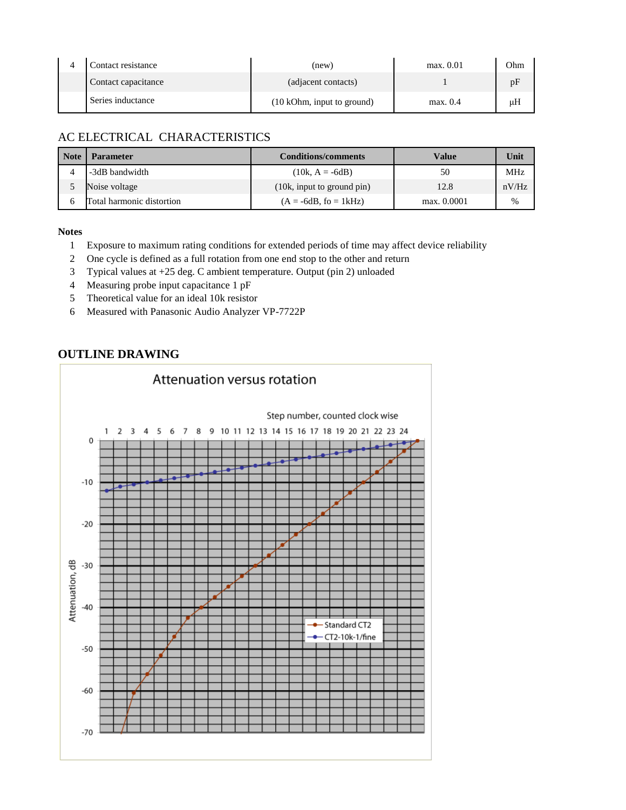| Contact resistance  | (new)                      | max. 0.01 | Ohm |
|---------------------|----------------------------|-----------|-----|
| Contact capacitance | (adjacent contacts)        |           |     |
| Series inductance   | (10 kOhm, input to ground) | max. 0.4  | μH  |

### AC ELECTRICAL CHARACTERISTICS

| <b>Note</b> | <b>Parameter</b>          | <b>Conditions/comments</b> | Value       | Unit       |
|-------------|---------------------------|----------------------------|-------------|------------|
|             | -3dB bandwidth            | $(10k, A = -6dB)$          | 50          | <b>MHz</b> |
|             | Noise voltage             | (10k, input to ground pin) | 12.8        | nV/Hz      |
|             | Total harmonic distortion | $(A = -6dB, fo = 1kHz)$    | max. 0.0001 | %          |

#### **Notes**

- Exposure to maximum rating conditions for extended periods of time may affect device reliability
- One cycle is defined as a full rotation from one end stop to the other and return
- Typical values at +25 deg. C ambient temperature. Output (pin 2) unloaded
- Measuring probe input capacitance 1 pF
- Theoretical value for an ideal 10k resistor
- Measured with Panasonic Audio Analyzer VP-7722P

#### **OUTLINE DRAWING**

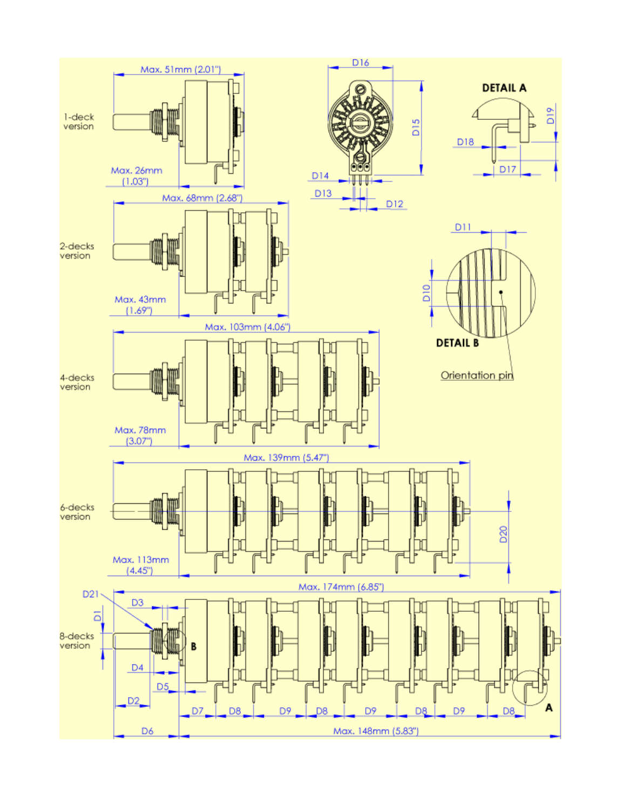